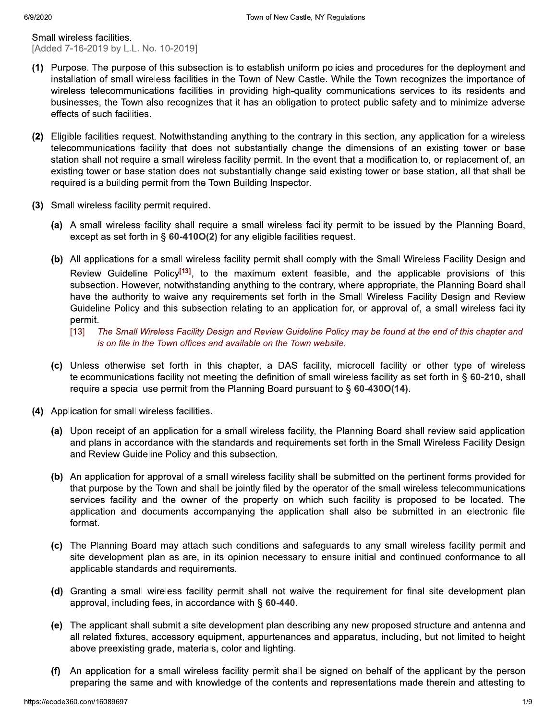Small wireless facilities. [Added 7-16-2019 by L.L. No. 10-2019]

- (1) Purpose. The purpose of this subsection is to establish uniform policies and procedures for the deployment and installation of small wireless facilities in the Town of New Castle. While the Town recognizes the importance of wireless telecommunications facilities in providing high-quality communications services to its residents and businesses, the Town also recognizes that it has an obligation to protect public safety and to minimize adverse effects of such facilities.
- (2) Eligible facilities request. Notwithstanding anything to the contrary in this section, any application for a wireless telecommunications facility that does not substantially change the dimensions of an existing tower or base station shall not require a small wireless facility permit. In the event that a modification to, or replacement of, an existing tower or base station does not substantially change said existing tower or base station, all that shall be required is a building permit from the Town Building Inspector.
- (3) Small wireless facility permit required.
	- (a) A small wireless facility shall require a small wireless facility permit to be issued by the Planning Board, except as set forth in § 60-410O(2) for any eligible facilities request.
	- (b) All applications for a small wireless facility permit shall comply with the Small Wireless Facility Design and Review Guideline Policy<sup>[13]</sup>, to the maximum extent feasible, and the applicable provisions of this subsection. However, notwithstanding anything to the contrary, where appropriate, the Planning Board shall have the authority to waive any requirements set forth in the Small Wireless Facility Design and Review Guideline Policy and this subsection relating to an application for, or approval of, a small wireless facility permit.
		- $[13]$ The Small Wireless Facility Design and Review Guideline Policy may be found at the end of this chapter and is on file in the Town offices and available on the Town website.
	- (c) Unless otherwise set forth in this chapter, a DAS facility, microcell facility or other type of wireless telecommunications facility not meeting the definition of small wireless facility as set forth in § 60-210, shall require a special use permit from the Planning Board pursuant to  $\S$  60-4300(14).
- (4) Application for small wireless facilities.
	- (a) Upon receipt of an application for a small wireless facility, the Planning Board shall review said application and plans in accordance with the standards and requirements set forth in the Small Wireless Facility Design and Review Guideline Policy and this subsection.
	- (b) An application for approval of a small wireless facility shall be submitted on the pertinent forms provided for that purpose by the Town and shall be jointly filed by the operator of the small wireless telecommunications services facility and the owner of the property on which such facility is proposed to be located. The application and documents accompanying the application shall also be submitted in an electronic file format.
	- (c) The Planning Board may attach such conditions and safeguards to any small wireless facility permit and site development plan as are, in its opinion necessary to ensure initial and continued conformance to all applicable standards and requirements.
	- (d) Granting a small wireless facility permit shall not waive the requirement for final site development plan approval, including fees, in accordance with  $\S$  60-440.
	- (e) The applicant shall submit a site development plan describing any new proposed structure and antenna and all related fixtures, accessory equipment, appurtenances and apparatus, including, but not limited to height above preexisting grade, materials, color and lighting.
	- $(f)$ An application for a small wireless facility permit shall be signed on behalf of the applicant by the person preparing the same and with knowledge of the contents and representations made therein and attesting to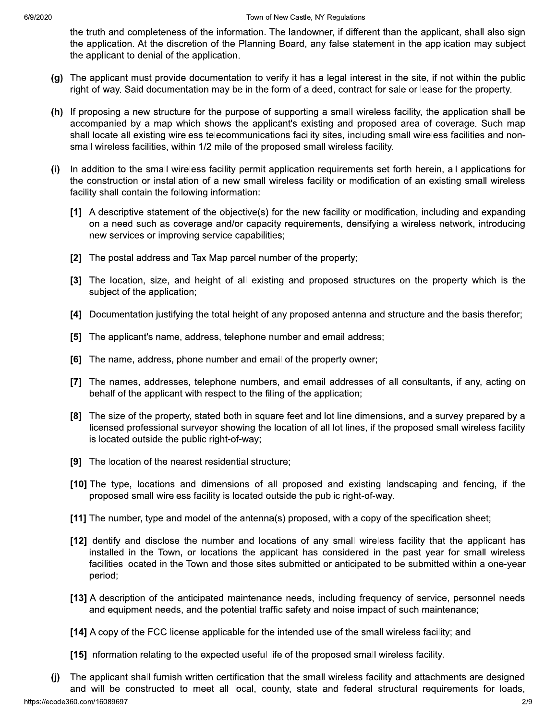the truth and completeness of the information. The landowner, if different than the applicant, shall also sign the application. At the discretion of the Planning Board, any false statement in the application may subject the applicant to denial of the application.

- (g) The applicant must provide documentation to verify it has a legal interest in the site, if not within the public right-of-way. Said documentation may be in the form of a deed, contract for sale or lease for the property.
- (h) If proposing a new structure for the purpose of supporting a small wireless facility, the application shall be accompanied by a map which shows the applicant's existing and proposed area of coverage. Such map shall locate all existing wireless telecommunications facility sites, including small wireless facilities and nonsmall wireless facilities, within 1/2 mile of the proposed small wireless facility.
- In addition to the small wireless facility permit application requirements set forth herein, all applications for  $(i)$ the construction or installation of a new small wireless facility or modification of an existing small wireless facility shall contain the following information:
	- [1] A descriptive statement of the objective(s) for the new facility or modification, including and expanding on a need such as coverage and/or capacity requirements, densifying a wireless network, introducing new services or improving service capabilities;
	- [2] The postal address and Tax Map parcel number of the property;
	- [3] The location, size, and height of all existing and proposed structures on the property which is the subject of the application;
	- [4] Documentation justifying the total height of any proposed antenna and structure and the basis therefor;
	- [5] The applicant's name, address, telephone number and email address;
	- [6] The name, address, phone number and email of the property owner;
	- [7] The names, addresses, telephone numbers, and email addresses of all consultants, if any, acting on behalf of the applicant with respect to the filing of the application;
	- [8] The size of the property, stated both in square feet and lot line dimensions, and a survey prepared by a licensed professional surveyor showing the location of all lot lines, if the proposed small wireless facility is located outside the public right-of-way;
	- [9] The location of the nearest residential structure;
	- [10] The type, locations and dimensions of all proposed and existing landscaping and fencing, if the proposed small wireless facility is located outside the public right-of-way.
	- [11] The number, type and model of the antenna(s) proposed, with a copy of the specification sheet;
	- [12] Identify and disclose the number and locations of any small wireless facility that the applicant has installed in the Town, or locations the applicant has considered in the past year for small wireless facilities located in the Town and those sites submitted or anticipated to be submitted within a one-year period;
	- [13] A description of the anticipated maintenance needs, including frequency of service, personnel needs and equipment needs, and the potential traffic safety and noise impact of such maintenance;
	- [14] A copy of the FCC license applicable for the intended use of the small wireless facility; and
	- [15] Information relating to the expected useful life of the proposed small wireless facility.
- The applicant shall furnish written certification that the small wireless facility and attachments are designed  $(i)$ and will be constructed to meet all local, county, state and federal structural requirements for loads,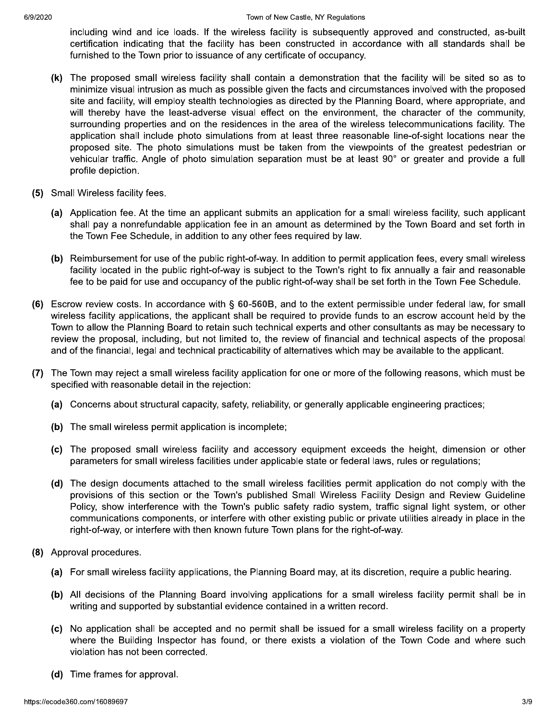including wind and ice loads. If the wireless facility is subsequently approved and constructed, as-built certification indicating that the facility has been constructed in accordance with all standards shall be furnished to the Town prior to issuance of any certificate of occupancy.

- (k) The proposed small wireless facility shall contain a demonstration that the facility will be sited so as to minimize visual intrusion as much as possible given the facts and circumstances involved with the proposed site and facility, will employ stealth technologies as directed by the Planning Board, where appropriate, and will thereby have the least-adverse visual effect on the environment, the character of the community, surrounding properties and on the residences in the area of the wireless telecommunications facility. The application shall include photo simulations from at least three reasonable line-of-sight locations near the proposed site. The photo simulations must be taken from the viewpoints of the greatest pedestrian or vehicular traffic. Angle of photo simulation separation must be at least 90° or greater and provide a full profile depiction.
- (5) Small Wireless facility fees.
	- (a) Application fee. At the time an applicant submits an application for a small wireless facility, such applicant shall pay a nonrefundable application fee in an amount as determined by the Town Board and set forth in the Town Fee Schedule, in addition to any other fees required by law.
	- (b) Reimbursement for use of the public right-of-way. In addition to permit application fees, every small wireless facility located in the public right-of-way is subject to the Town's right to fix annually a fair and reasonable fee to be paid for use and occupancy of the public right-of-way shall be set forth in the Town Fee Schedule.
- (6) Escrow review costs. In accordance with § 60-560B, and to the extent permissible under federal law, for small wireless facility applications, the applicant shall be required to provide funds to an escrow account held by the Town to allow the Planning Board to retain such technical experts and other consultants as may be necessary to review the proposal, including, but not limited to, the review of financial and technical aspects of the proposal and of the financial, legal and technical practicability of alternatives which may be available to the applicant.
- The Town may reject a small wireless facility application for one or more of the following reasons, which must be  $(7)$ specified with reasonable detail in the rejection:
	- (a) Concerns about structural capacity, safety, reliability, or generally applicable engineering practices;
	- (b) The small wireless permit application is incomplete:
	- (c) The proposed small wireless facility and accessory equipment exceeds the height, dimension or other parameters for small wireless facilities under applicable state or federal laws, rules or regulations;
	- (d) The design documents attached to the small wireless facilities permit application do not comply with the provisions of this section or the Town's published Small Wireless Facility Design and Review Guideline Policy, show interference with the Town's public safety radio system, traffic signal light system, or other communications components, or interfere with other existing public or private utilities already in place in the right-of-way, or interfere with then known future Town plans for the right-of-way.
- (8) Approval procedures.
	- (a) For small wireless facility applications, the Planning Board may, at its discretion, require a public hearing.
	- (b) All decisions of the Planning Board involving applications for a small wireless facility permit shall be in writing and supported by substantial evidence contained in a written record.
	- (c) No application shall be accepted and no permit shall be issued for a small wireless facility on a property where the Building Inspector has found, or there exists a violation of the Town Code and where such violation has not been corrected.
	- (d) Time frames for approval.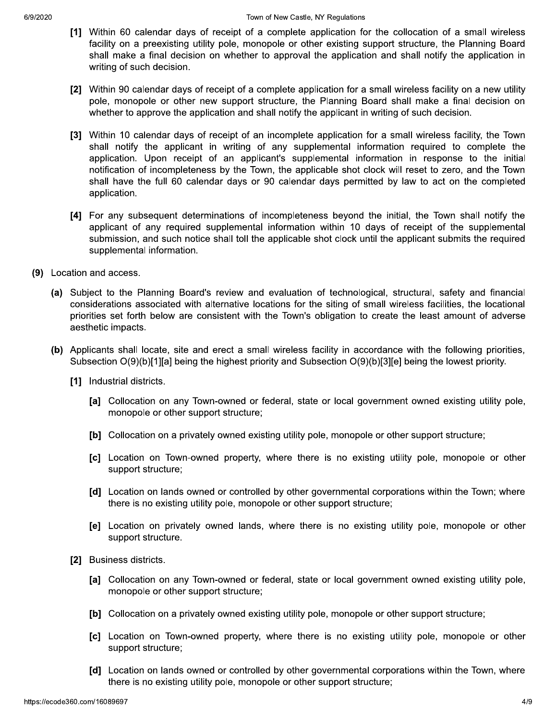- [1] Within 60 calendar days of receipt of a complete application for the collocation of a small wireless facility on a preexisting utility pole, monopole or other existing support structure, the Planning Board shall make a final decision on whether to approval the application and shall notify the application in writing of such decision.
- [2] Within 90 calendar days of receipt of a complete application for a small wireless facility on a new utility pole, monopole or other new support structure, the Planning Board shall make a final decision on whether to approve the application and shall notify the applicant in writing of such decision.
- [3] Within 10 calendar days of receipt of an incomplete application for a small wireless facility, the Town shall notify the applicant in writing of any supplemental information required to complete the application. Upon receipt of an applicant's supplemental information in response to the initial notification of incompleteness by the Town, the applicable shot clock will reset to zero, and the Town shall have the full 60 calendar days or 90 calendar days permitted by law to act on the completed application.
- [4] For any subsequent determinations of incompleteness beyond the initial, the Town shall notify the applicant of any required supplemental information within 10 days of receipt of the supplemental submission, and such notice shall toll the applicable shot clock until the applicant submits the required supplemental information.
- (9) Location and access.
	- (a) Subject to the Planning Board's review and evaluation of technological, structural, safety and financial considerations associated with alternative locations for the siting of small wireless facilities, the locational priorities set forth below are consistent with the Town's obligation to create the least amount of adverse aesthetic impacts.
	- (b) Applicants shall locate, site and erect a small wireless facility in accordance with the following priorities, Subsection  $O(9)(b)[1][a]$  being the highest priority and Subsection  $O(9)(b)[3][e]$  being the lowest priority.
		- [1] Industrial districts.
			- [a] Collocation on any Town-owned or federal, state or local government owned existing utility pole, monopole or other support structure;
			- [b] Collocation on a privately owned existing utility pole, monopole or other support structure;
			- [c] Location on Town-owned property, where there is no existing utility pole, monopole or other support structure;
			- [d] Location on lands owned or controlled by other governmental corporations within the Town; where there is no existing utility pole, monopole or other support structure;
			- [e] Location on privately owned lands, where there is no existing utility pole, monopole or other support structure.
		- [2] Business districts.
			- [a] Collocation on any Town-owned or federal, state or local government owned existing utility pole, monopole or other support structure;
			- [b] Collocation on a privately owned existing utility pole, monopole or other support structure;
			- [c] Location on Town-owned property, where there is no existing utility pole, monopole or other support structure;
			- [d] Location on lands owned or controlled by other governmental corporations within the Town, where there is no existing utility pole, monopole or other support structure;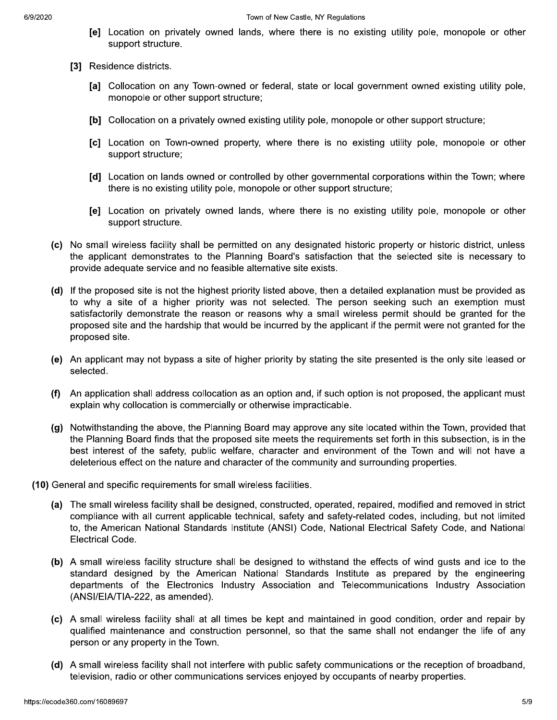- [e] Location on privately owned lands, where there is no existing utility pole, monopole or other support structure.
- [3] Residence districts.
	- [a] Collocation on any Town-owned or federal, state or local government owned existing utility pole, monopole or other support structure;
	- [b] Collocation on a privately owned existing utility pole, monopole or other support structure;
	- [c] Location on Town-owned property, where there is no existing utility pole, monopole or other support structure;
	- [d] Location on lands owned or controlled by other governmental corporations within the Town; where there is no existing utility pole, monopole or other support structure;
	- [e] Location on privately owned lands, where there is no existing utility pole, monopole or other support structure.
- (c) No small wireless facility shall be permitted on any designated historic property or historic district, unless the applicant demonstrates to the Planning Board's satisfaction that the selected site is necessary to provide adequate service and no feasible alternative site exists.
- (d) If the proposed site is not the highest priority listed above, then a detailed explanation must be provided as to why a site of a higher priority was not selected. The person seeking such an exemption must satisfactorily demonstrate the reason or reasons why a small wireless permit should be granted for the proposed site and the hardship that would be incurred by the applicant if the permit were not granted for the proposed site.
- (e) An applicant may not bypass a site of higher priority by stating the site presented is the only site leased or selected.
- (f) An application shall address collocation as an option and, if such option is not proposed, the applicant must explain why collocation is commercially or otherwise impracticable.
- (g) Notwithstanding the above, the Planning Board may approve any site located within the Town, provided that the Planning Board finds that the proposed site meets the requirements set forth in this subsection, is in the best interest of the safety, public welfare, character and environment of the Town and will not have a deleterious effect on the nature and character of the community and surrounding properties.
- (10) General and specific requirements for small wireless facilities.
	- (a) The small wireless facility shall be designed, constructed, operated, repaired, modified and removed in strict compliance with all current applicable technical, safety and safety-related codes, including, but not limited to, the American National Standards Institute (ANSI) Code, National Electrical Safety Code, and National **Electrical Code.**
	- (b) A small wireless facility structure shall be designed to withstand the effects of wind gusts and ice to the standard designed by the American National Standards Institute as prepared by the engineering departments of the Electronics Industry Association and Telecommunications Industry Association (ANSI/EIA/TIA-222, as amended).
	- (c) A small wireless facility shall at all times be kept and maintained in good condition, order and repair by qualified maintenance and construction personnel, so that the same shall not endanger the life of any person or any property in the Town.
	- (d) A small wireless facility shall not interfere with public safety communications or the reception of broadband, television, radio or other communications services enjoyed by occupants of nearby properties.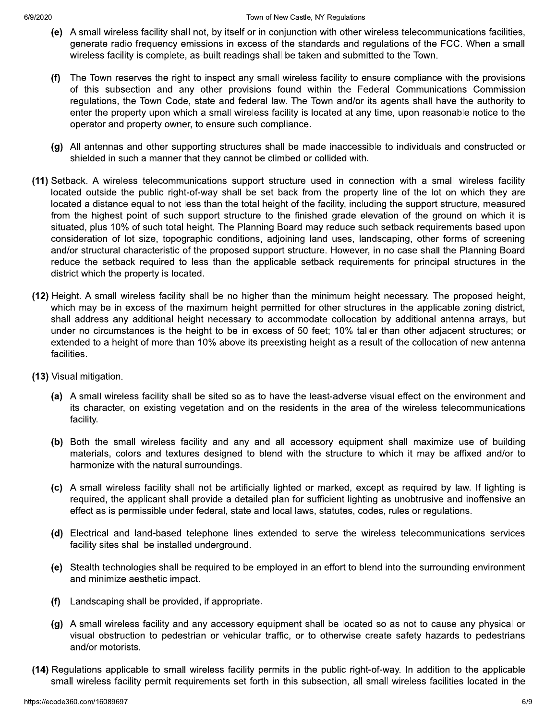- (e) A small wireless facility shall not, by itself or in conjunction with other wireless telecommunications facilities, generate radio frequency emissions in excess of the standards and regulations of the FCC. When a small wireless facility is complete, as-built readings shall be taken and submitted to the Town.
- $(f)$ The Town reserves the right to inspect any small wireless facility to ensure compliance with the provisions of this subsection and any other provisions found within the Federal Communications Commission regulations, the Town Code, state and federal law. The Town and/or its agents shall have the authority to enter the property upon which a small wireless facility is located at any time, upon reasonable notice to the operator and property owner, to ensure such compliance.
- (g) All antennas and other supporting structures shall be made inaccessible to individuals and constructed or shielded in such a manner that they cannot be climbed or collided with.
- (11) Setback. A wireless telecommunications support structure used in connection with a small wireless facility located outside the public right-of-way shall be set back from the property line of the lot on which they are located a distance equal to not less than the total height of the facility, including the support structure, measured from the highest point of such support structure to the finished grade elevation of the ground on which it is situated, plus 10% of such total height. The Planning Board may reduce such setback requirements based upon consideration of lot size, topographic conditions, adjoining land uses, landscaping, other forms of screening and/or structural characteristic of the proposed support structure. However, in no case shall the Planning Board reduce the setback required to less than the applicable setback requirements for principal structures in the district which the property is located.
- (12) Height. A small wireless facility shall be no higher than the minimum height necessary. The proposed height, which may be in excess of the maximum height permitted for other structures in the applicable zoning district, shall address any additional height necessary to accommodate collocation by additional antenna arrays, but under no circumstances is the height to be in excess of 50 feet; 10% taller than other adjacent structures; or extended to a height of more than 10% above its preexisting height as a result of the collocation of new antenna facilities.
- (13) Visual mitigation.
	- (a) A small wireless facility shall be sited so as to have the least-adverse visual effect on the environment and its character, on existing vegetation and on the residents in the area of the wireless telecommunications facility.
	- (b) Both the small wireless facility and any and all accessory equipment shall maximize use of building materials, colors and textures designed to blend with the structure to which it may be affixed and/or to harmonize with the natural surroundings.
	- (c) A small wireless facility shall not be artificially lighted or marked, except as required by law. If lighting is required, the applicant shall provide a detailed plan for sufficient lighting as unobtrusive and inoffensive an effect as is permissible under federal, state and local laws, statutes, codes, rules or regulations.
	- (d) Electrical and land-based telephone lines extended to serve the wireless telecommunications services facility sites shall be installed underground.
	- (e) Stealth technologies shall be required to be employed in an effort to blend into the surrounding environment and minimize aesthetic impact.
	- Landscaping shall be provided, if appropriate.  $(f)$
	- (g) A small wireless facility and any accessory equipment shall be located so as not to cause any physical or visual obstruction to pedestrian or vehicular traffic, or to otherwise create safety hazards to pedestrians and/or motorists.
- (14) Regulations applicable to small wireless facility permits in the public right-of-way. In addition to the applicable small wireless facility permit requirements set forth in this subsection, all small wireless facilities located in the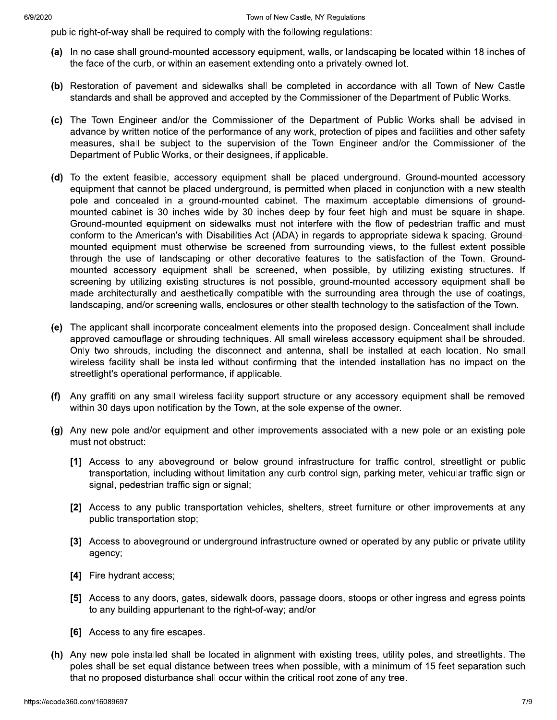public right-of-way shall be required to comply with the following regulations:

- (a) In no case shall ground-mounted accessory equipment, walls, or landscaping be located within 18 inches of the face of the curb, or within an easement extending onto a privately-owned lot.
- (b) Restoration of pavement and sidewalks shall be completed in accordance with all Town of New Castle standards and shall be approved and accepted by the Commissioner of the Department of Public Works.
- (c) The Town Engineer and/or the Commissioner of the Department of Public Works shall be advised in advance by written notice of the performance of any work, protection of pipes and facilities and other safety measures, shall be subject to the supervision of the Town Engineer and/or the Commissioner of the Department of Public Works, or their designees, if applicable.
- (d) To the extent feasible, accessory equipment shall be placed underground. Ground-mounted accessory equipment that cannot be placed underground, is permitted when placed in conjunction with a new stealth pole and concealed in a ground-mounted cabinet. The maximum acceptable dimensions of groundmounted cabinet is 30 inches wide by 30 inches deep by four feet high and must be square in shape. Ground-mounted equipment on sidewalks must not interfere with the flow of pedestrian traffic and must conform to the American's with Disabilities Act (ADA) in regards to appropriate sidewalk spacing. Groundmounted equipment must otherwise be screened from surrounding views, to the fullest extent possible through the use of landscaping or other decorative features to the satisfaction of the Town. Groundmounted accessory equipment shall be screened, when possible, by utilizing existing structures. If screening by utilizing existing structures is not possible, ground-mounted accessory equipment shall be made architecturally and aesthetically compatible with the surrounding area through the use of coatings, landscaping, and/or screening walls, enclosures or other stealth technology to the satisfaction of the Town.
- (e) The applicant shall incorporate concealment elements into the proposed design. Concealment shall include approved camouflage or shrouding techniques. All small wireless accessory equipment shall be shrouded. Only two shrouds, including the disconnect and antenna, shall be installed at each location. No small wireless facility shall be installed without confirming that the intended installation has no impact on the streetlight's operational performance, if applicable.
- (f) Any graffiti on any small wireless facility support structure or any accessory equipment shall be removed within 30 days upon notification by the Town, at the sole expense of the owner.
- (g) Any new pole and/or equipment and other improvements associated with a new pole or an existing pole must not obstruct:
	- [1] Access to any aboveground or below ground infrastructure for traffic control, streetlight or public transportation, including without limitation any curb control sign, parking meter, vehicular traffic sign or signal, pedestrian traffic sign or signal;
	- [2] Access to any public transportation vehicles, shelters, street furniture or other improvements at any public transportation stop;
	- [3] Access to aboveground or underground infrastructure owned or operated by any public or private utility agency;
	- [4] Fire hydrant access;
	- [5] Access to any doors, gates, sidewalk doors, passage doors, stoops or other ingress and egress points to any building appurtenant to the right-of-way; and/or
	- [6] Access to any fire escapes.
- (h) Any new pole installed shall be located in alignment with existing trees, utility poles, and streetlights. The poles shall be set equal distance between trees when possible, with a minimum of 15 feet separation such that no proposed disturbance shall occur within the critical root zone of any tree.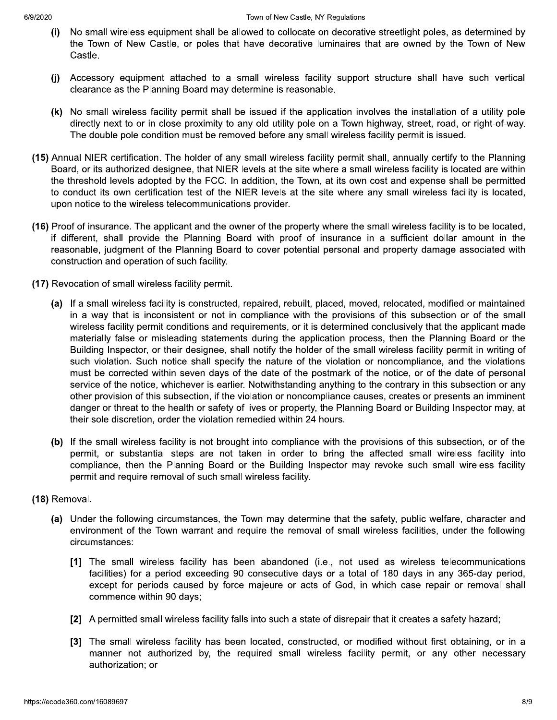- No small wireless equipment shall be allowed to collocate on decorative streetlight poles, as determined by  $(i)$ the Town of New Castle, or poles that have decorative luminaires that are owned by the Town of New Castle.
- $(i)$ Accessory equipment attached to a small wireless facility support structure shall have such vertical clearance as the Planning Board may determine is reasonable.
- (k) No small wireless facility permit shall be issued if the application involves the installation of a utility pole directly next to or in close proximity to any old utility pole on a Town highway, street, road, or right-of-way. The double pole condition must be removed before any small wireless facility permit is issued.
- (15) Annual NIER certification. The holder of any small wireless facility permit shall, annually certify to the Planning Board, or its authorized designee, that NIER levels at the site where a small wireless facility is located are within the threshold levels adopted by the FCC. In addition, the Town, at its own cost and expense shall be permitted to conduct its own certification test of the NIER levels at the site where any small wireless facility is located, upon notice to the wireless telecommunications provider.
- (16) Proof of insurance. The applicant and the owner of the property where the small wireless facility is to be located, if different, shall provide the Planning Board with proof of insurance in a sufficient dollar amount in the reasonable, judgment of the Planning Board to cover potential personal and property damage associated with construction and operation of such facility.
- (17) Revocation of small wireless facility permit.
	- (a) If a small wireless facility is constructed, repaired, rebuilt, placed, moved, relocated, modified or maintained in a way that is inconsistent or not in compliance with the provisions of this subsection or of the small wireless facility permit conditions and requirements, or it is determined conclusively that the applicant made materially false or misleading statements during the application process, then the Planning Board or the Building Inspector, or their designee, shall notify the holder of the small wireless facility permit in writing of such violation. Such notice shall specify the nature of the violation or noncompliance, and the violations must be corrected within seven days of the date of the postmark of the notice, or of the date of personal service of the notice, whichever is earlier. Notwithstanding anything to the contrary in this subsection or any other provision of this subsection, if the violation or noncompliance causes, creates or presents an imminent danger or threat to the health or safety of lives or property, the Planning Board or Building Inspector may, at their sole discretion, order the violation remedied within 24 hours.
	- (b) If the small wireless facility is not brought into compliance with the provisions of this subsection, or of the permit, or substantial steps are not taken in order to bring the affected small wireless facility into compliance, then the Planning Board or the Building Inspector may revoke such small wireless facility permit and require removal of such small wireless facility.

## (18) Removal.

- (a) Under the following circumstances, the Town may determine that the safety, public welfare, character and environment of the Town warrant and require the removal of small wireless facilities, under the following circumstances:
	- [1] The small wireless facility has been abandoned (i.e., not used as wireless telecommunications facilities) for a period exceeding 90 consecutive days or a total of 180 days in any 365-day period, except for periods caused by force majeure or acts of God, in which case repair or removal shall commence within 90 days;
	- [2] A permitted small wireless facility falls into such a state of disrepair that it creates a safety hazard;
	- [3] The small wireless facility has been located, constructed, or modified without first obtaining, or in a manner not authorized by, the required small wireless facility permit, or any other necessary authorization; or